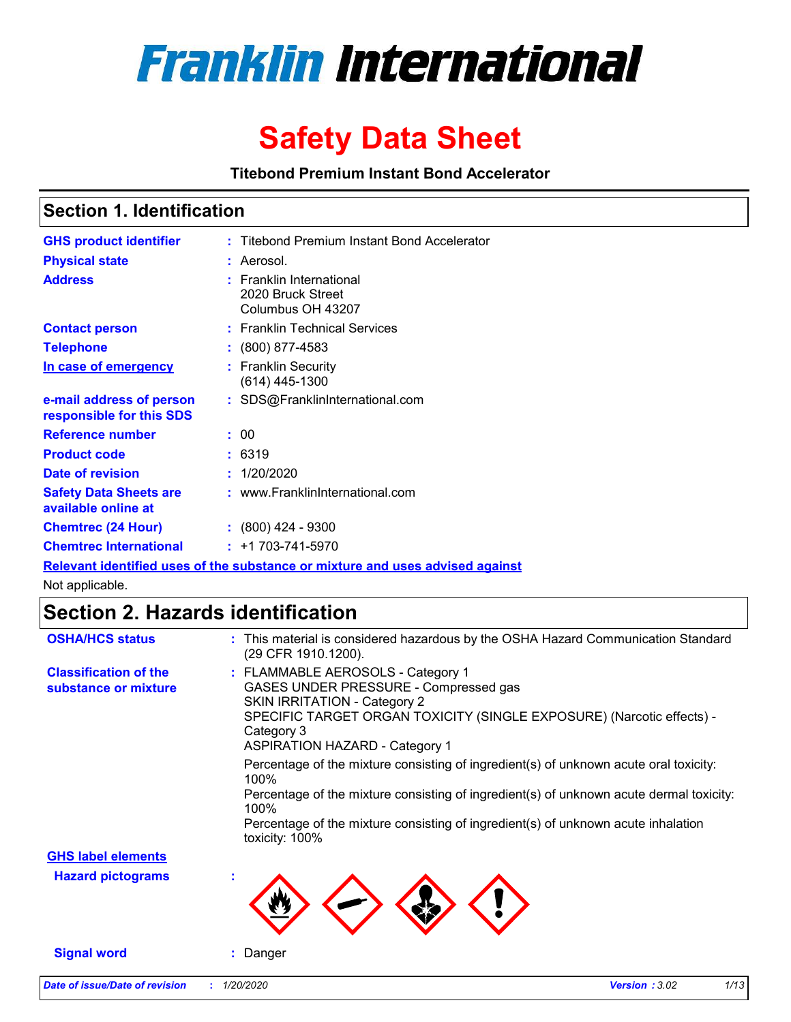

# **Safety Data Sheet**

**Titebond Premium Instant Bond Accelerator**

### **Section 1. Identification**

| <b>GHS product identifier</b>                        | : Titebond Premium Instant Bond Accelerator                        |
|------------------------------------------------------|--------------------------------------------------------------------|
| <b>Physical state</b>                                | : Aerosol.                                                         |
| <b>Address</b>                                       | : Franklin International<br>2020 Bruck Street<br>Columbus OH 43207 |
| <b>Contact person</b>                                | : Franklin Technical Services                                      |
| <b>Telephone</b>                                     | : (800) 877-4583                                                   |
| In case of emergency                                 | : Franklin Security<br>$(614)$ 445-1300                            |
| e-mail address of person<br>responsible for this SDS | : SDS@FranklinInternational.com                                    |
| <b>Reference number</b>                              | : 00                                                               |
| <b>Product code</b>                                  | : 6319                                                             |
| Date of revision                                     | : 1/20/2020                                                        |
| <b>Safety Data Sheets are</b><br>available online at | : www.FranklinInternational.com                                    |
| <b>Chemtrec (24 Hour)</b>                            | : (800) 424 - 9300                                                 |
| <b>Chemtrec International</b>                        | $: +1703 - 741 - 5970$                                             |

**Relevant identified uses of the substance or mixture and uses advised against**

Not applicable.

### **Section 2. Hazards identification**

| <b>OSHA/HCS status</b>                               | : This material is considered hazardous by the OSHA Hazard Communication Standard<br>(29 CFR 1910.1200).                                                                                                                                          |
|------------------------------------------------------|---------------------------------------------------------------------------------------------------------------------------------------------------------------------------------------------------------------------------------------------------|
| <b>Classification of the</b><br>substance or mixture | : FLAMMABLE AEROSOLS - Category 1<br>GASES UNDER PRESSURE - Compressed gas<br><b>SKIN IRRITATION - Category 2</b><br>SPECIFIC TARGET ORGAN TOXICITY (SINGLE EXPOSURE) (Narcotic effects) -<br>Category 3<br><b>ASPIRATION HAZARD - Category 1</b> |
|                                                      | Percentage of the mixture consisting of ingredient(s) of unknown acute oral toxicity:<br>100%                                                                                                                                                     |
|                                                      | Percentage of the mixture consisting of ingredient(s) of unknown acute dermal toxicity:<br>100%                                                                                                                                                   |
|                                                      | Percentage of the mixture consisting of ingredient(s) of unknown acute inhalation<br>toxicity: 100%                                                                                                                                               |
| <b>GHS label elements</b>                            |                                                                                                                                                                                                                                                   |
| <b>Hazard pictograms</b>                             |                                                                                                                                                                                                                                                   |
| <b>Signal word</b>                                   | Danger                                                                                                                                                                                                                                            |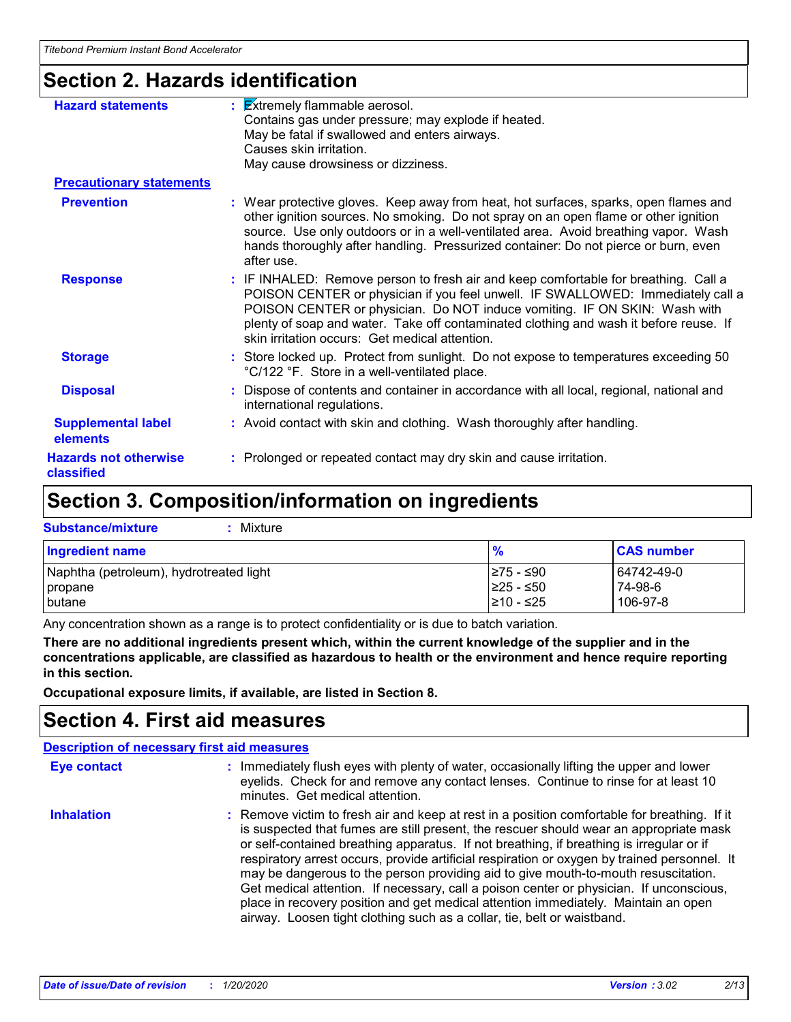# **Section 2. Hazards identification**

| <b>Hazard statements</b>                   | <b>Extremely flammable aerosol.</b><br>Contains gas under pressure; may explode if heated.<br>May be fatal if swallowed and enters airways.<br>Causes skin irritation.<br>May cause drowsiness or dizziness.                                                                                                                                                                                   |
|--------------------------------------------|------------------------------------------------------------------------------------------------------------------------------------------------------------------------------------------------------------------------------------------------------------------------------------------------------------------------------------------------------------------------------------------------|
| <b>Precautionary statements</b>            |                                                                                                                                                                                                                                                                                                                                                                                                |
| <b>Prevention</b>                          | : Wear protective gloves. Keep away from heat, hot surfaces, sparks, open flames and<br>other ignition sources. No smoking. Do not spray on an open flame or other ignition<br>source. Use only outdoors or in a well-ventilated area. Avoid breathing vapor. Wash<br>hands thoroughly after handling. Pressurized container: Do not pierce or burn, even<br>after use.                        |
| <b>Response</b>                            | : IF INHALED: Remove person to fresh air and keep comfortable for breathing. Call a<br>POISON CENTER or physician if you feel unwell. IF SWALLOWED: Immediately call a<br>POISON CENTER or physician. Do NOT induce vomiting. IF ON SKIN: Wash with<br>plenty of soap and water. Take off contaminated clothing and wash it before reuse. If<br>skin irritation occurs: Get medical attention. |
| <b>Storage</b>                             | : Store locked up. Protect from sunlight. Do not expose to temperatures exceeding 50<br>°C/122 °F. Store in a well-ventilated place.                                                                                                                                                                                                                                                           |
| <b>Disposal</b>                            | : Dispose of contents and container in accordance with all local, regional, national and<br>international regulations.                                                                                                                                                                                                                                                                         |
| <b>Supplemental label</b><br>elements      | : Avoid contact with skin and clothing. Wash thoroughly after handling.                                                                                                                                                                                                                                                                                                                        |
| <b>Hazards not otherwise</b><br>classified | : Prolonged or repeated contact may dry skin and cause irritation.                                                                                                                                                                                                                                                                                                                             |
|                                            |                                                                                                                                                                                                                                                                                                                                                                                                |

## **Section 3. Composition/information on ingredients**

| <b>Substance/mixture</b><br>: Mixture   |               |                   |
|-----------------------------------------|---------------|-------------------|
| <b>Ingredient name</b>                  | $\frac{9}{6}$ | <b>CAS number</b> |
| Naphtha (petroleum), hydrotreated light | ≥75 - ≤90     | 64742-49-0        |
| propane                                 | ≥25 - ≤50     | 74-98-6           |
| <b>I</b> butane                         | I≥10 - ≤25    | 106-97-8          |

Any concentration shown as a range is to protect confidentiality or is due to batch variation.

**There are no additional ingredients present which, within the current knowledge of the supplier and in the concentrations applicable, are classified as hazardous to health or the environment and hence require reporting in this section.**

**Occupational exposure limits, if available, are listed in Section 8.**

### **Section 4. First aid measures**

| <b>Description of necessary first aid measures</b> |                                                                                                                                                                                                                                                                                                                                                                                                                                                                                                                                                                                                                                                                                                                                      |
|----------------------------------------------------|--------------------------------------------------------------------------------------------------------------------------------------------------------------------------------------------------------------------------------------------------------------------------------------------------------------------------------------------------------------------------------------------------------------------------------------------------------------------------------------------------------------------------------------------------------------------------------------------------------------------------------------------------------------------------------------------------------------------------------------|
| Eye contact                                        | : Immediately flush eyes with plenty of water, occasionally lifting the upper and lower<br>eyelids. Check for and remove any contact lenses. Continue to rinse for at least 10<br>minutes. Get medical attention.                                                                                                                                                                                                                                                                                                                                                                                                                                                                                                                    |
| <b>Inhalation</b>                                  | : Remove victim to fresh air and keep at rest in a position comfortable for breathing. If it<br>is suspected that fumes are still present, the rescuer should wear an appropriate mask<br>or self-contained breathing apparatus. If not breathing, if breathing is irregular or if<br>respiratory arrest occurs, provide artificial respiration or oxygen by trained personnel. It<br>may be dangerous to the person providing aid to give mouth-to-mouth resuscitation.<br>Get medical attention. If necessary, call a poison center or physician. If unconscious,<br>place in recovery position and get medical attention immediately. Maintain an open<br>airway. Loosen tight clothing such as a collar, tie, belt or waistband. |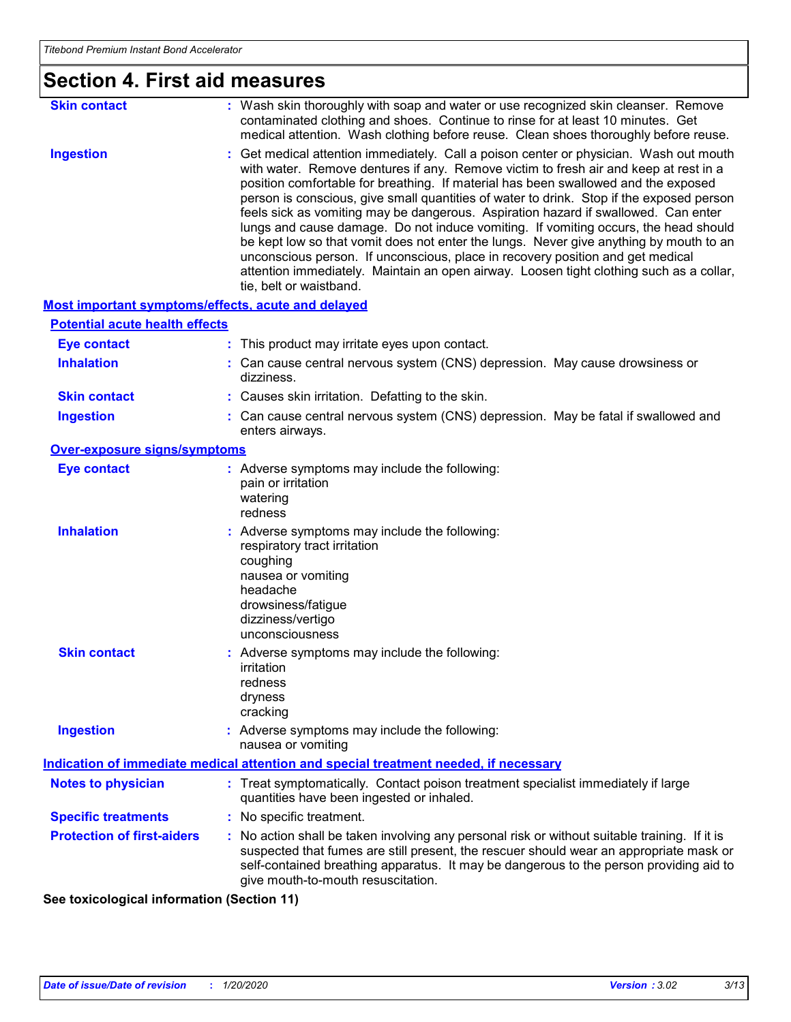# **Section 4. First aid measures**

| <b>Skin contact</b> | : Wash skin thoroughly with soap and water or use recognized skin cleanser. Remove<br>contaminated clothing and shoes. Continue to rinse for at least 10 minutes. Get<br>medical attention. Wash clothing before reuse. Clean shoes thoroughly before reuse.                                                                                                                                                                                                                                                                                                                                                                                                                                                                                                                                                                                    |
|---------------------|-------------------------------------------------------------------------------------------------------------------------------------------------------------------------------------------------------------------------------------------------------------------------------------------------------------------------------------------------------------------------------------------------------------------------------------------------------------------------------------------------------------------------------------------------------------------------------------------------------------------------------------------------------------------------------------------------------------------------------------------------------------------------------------------------------------------------------------------------|
| <b>Ingestion</b>    | : Get medical attention immediately. Call a poison center or physician. Wash out mouth<br>with water. Remove dentures if any. Remove victim to fresh air and keep at rest in a<br>position comfortable for breathing. If material has been swallowed and the exposed<br>person is conscious, give small quantities of water to drink. Stop if the exposed person<br>feels sick as vomiting may be dangerous. Aspiration hazard if swallowed. Can enter<br>lungs and cause damage. Do not induce vomiting. If vomiting occurs, the head should<br>be kept low so that vomit does not enter the lungs. Never give anything by mouth to an<br>unconscious person. If unconscious, place in recovery position and get medical<br>attention immediately. Maintain an open airway. Loosen tight clothing such as a collar,<br>tie, belt or waistband. |

#### **Most important symptoms/effects, acute and delayed**

| <b>Potential acute health effects</b>                 |                                                                                                                                                                                                                                                                                                                         |  |
|-------------------------------------------------------|-------------------------------------------------------------------------------------------------------------------------------------------------------------------------------------------------------------------------------------------------------------------------------------------------------------------------|--|
| <b>Eye contact</b>                                    | : This product may irritate eyes upon contact.                                                                                                                                                                                                                                                                          |  |
| <b>Inhalation</b>                                     | : Can cause central nervous system (CNS) depression. May cause drowsiness or<br>dizziness.                                                                                                                                                                                                                              |  |
| <b>Skin contact</b>                                   | : Causes skin irritation. Defatting to the skin.                                                                                                                                                                                                                                                                        |  |
| <b>Ingestion</b>                                      | : Can cause central nervous system (CNS) depression. May be fatal if swallowed and<br>enters airways.                                                                                                                                                                                                                   |  |
| Over-exposure signs/symptoms                          |                                                                                                                                                                                                                                                                                                                         |  |
| <b>Eye contact</b>                                    | : Adverse symptoms may include the following:<br>pain or irritation<br>watering<br>redness                                                                                                                                                                                                                              |  |
| <b>Inhalation</b>                                     | : Adverse symptoms may include the following:<br>respiratory tract irritation<br>coughing<br>nausea or vomiting<br>headache<br>drowsiness/fatigue<br>dizziness/vertigo<br>unconsciousness                                                                                                                               |  |
| <b>Skin contact</b>                                   | : Adverse symptoms may include the following:<br>irritation<br>redness<br>dryness<br>cracking                                                                                                                                                                                                                           |  |
| <b>Ingestion</b>                                      | : Adverse symptoms may include the following:<br>nausea or vomiting                                                                                                                                                                                                                                                     |  |
|                                                       | <b>Indication of immediate medical attention and special treatment needed, if necessary</b>                                                                                                                                                                                                                             |  |
| <b>Notes to physician</b>                             | : Treat symptomatically. Contact poison treatment specialist immediately if large<br>quantities have been ingested or inhaled.                                                                                                                                                                                          |  |
| <b>Specific treatments</b>                            | : No specific treatment.                                                                                                                                                                                                                                                                                                |  |
| <b>Protection of first-aiders</b>                     | : No action shall be taken involving any personal risk or without suitable training. If it is<br>suspected that fumes are still present, the rescuer should wear an appropriate mask or<br>self-contained breathing apparatus. It may be dangerous to the person providing aid to<br>give mouth-to-mouth resuscitation. |  |
| is to dealer be a best before a state of Carathan AAV |                                                                                                                                                                                                                                                                                                                         |  |

**See toxicological information (Section 11)**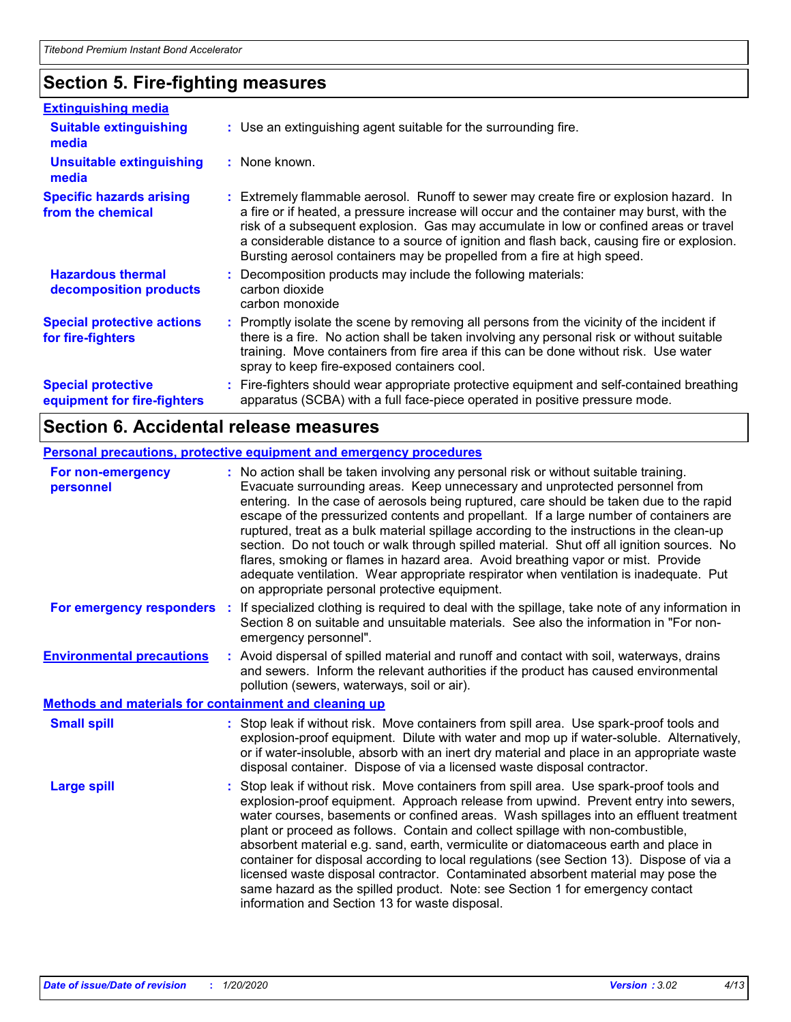# **Section 5. Fire-fighting measures**

| <b>Extinguishing media</b>                               |                                                                                                                                                                                                                                                                                                                                                                                                                                                       |
|----------------------------------------------------------|-------------------------------------------------------------------------------------------------------------------------------------------------------------------------------------------------------------------------------------------------------------------------------------------------------------------------------------------------------------------------------------------------------------------------------------------------------|
| <b>Suitable extinguishing</b><br>media                   | : Use an extinguishing agent suitable for the surrounding fire.                                                                                                                                                                                                                                                                                                                                                                                       |
| Unsuitable extinguishing<br>media                        | : None known.                                                                                                                                                                                                                                                                                                                                                                                                                                         |
| <b>Specific hazards arising</b><br>from the chemical     | : Extremely flammable aerosol. Runoff to sewer may create fire or explosion hazard. In<br>a fire or if heated, a pressure increase will occur and the container may burst, with the<br>risk of a subsequent explosion. Gas may accumulate in low or confined areas or travel<br>a considerable distance to a source of ignition and flash back, causing fire or explosion.<br>Bursting aerosol containers may be propelled from a fire at high speed. |
| <b>Hazardous thermal</b><br>decomposition products       | Decomposition products may include the following materials:<br>carbon dioxide<br>carbon monoxide                                                                                                                                                                                                                                                                                                                                                      |
| <b>Special protective actions</b><br>for fire-fighters   | : Promptly isolate the scene by removing all persons from the vicinity of the incident if<br>there is a fire. No action shall be taken involving any personal risk or without suitable<br>training. Move containers from fire area if this can be done without risk. Use water<br>spray to keep fire-exposed containers cool.                                                                                                                         |
| <b>Special protective</b><br>equipment for fire-fighters | : Fire-fighters should wear appropriate protective equipment and self-contained breathing<br>apparatus (SCBA) with a full face-piece operated in positive pressure mode.                                                                                                                                                                                                                                                                              |

### **Section 6. Accidental release measures**

### **Personal precautions, protective equipment and emergency procedures**

|                            | : No action shall be taken involving any personal risk or without suitable training.<br>Evacuate surrounding areas. Keep unnecessary and unprotected personnel from<br>entering. In the case of aerosols being ruptured, care should be taken due to the rapid<br>escape of the pressurized contents and propellant. If a large number of containers are<br>ruptured, treat as a bulk material spillage according to the instructions in the clean-up<br>section. Do not touch or walk through spilled material. Shut off all ignition sources. No<br>flares, smoking or flames in hazard area. Avoid breathing vapor or mist. Provide<br>adequate ventilation. Wear appropriate respirator when ventilation is inadequate. Put<br>on appropriate personal protective equipment. |
|----------------------------|----------------------------------------------------------------------------------------------------------------------------------------------------------------------------------------------------------------------------------------------------------------------------------------------------------------------------------------------------------------------------------------------------------------------------------------------------------------------------------------------------------------------------------------------------------------------------------------------------------------------------------------------------------------------------------------------------------------------------------------------------------------------------------|
| For emergency responders : | If specialized clothing is required to deal with the spillage, take note of any information in<br>Section 8 on suitable and unsuitable materials. See also the information in "For non-<br>emergency personnel".                                                                                                                                                                                                                                                                                                                                                                                                                                                                                                                                                                 |
|                            | : Avoid dispersal of spilled material and runoff and contact with soil, waterways, drains<br>and sewers. Inform the relevant authorities if the product has caused environmental<br>pollution (sewers, waterways, soil or air).                                                                                                                                                                                                                                                                                                                                                                                                                                                                                                                                                  |
|                            | <b>Methods and materials for containment and cleaning up</b>                                                                                                                                                                                                                                                                                                                                                                                                                                                                                                                                                                                                                                                                                                                     |
|                            | : Stop leak if without risk. Move containers from spill area. Use spark-proof tools and<br>explosion-proof equipment. Dilute with water and mop up if water-soluble. Alternatively,<br>or if water-insoluble, absorb with an inert dry material and place in an appropriate waste<br>disposal container. Dispose of via a licensed waste disposal contractor.                                                                                                                                                                                                                                                                                                                                                                                                                    |
|                            | Stop leak if without risk. Move containers from spill area. Use spark-proof tools and<br>explosion-proof equipment. Approach release from upwind. Prevent entry into sewers,<br>water courses, basements or confined areas. Wash spillages into an effluent treatment<br>plant or proceed as follows. Contain and collect spillage with non-combustible,<br>absorbent material e.g. sand, earth, vermiculite or diatomaceous earth and place in<br>container for disposal according to local regulations (see Section 13). Dispose of via a<br>licensed waste disposal contractor. Contaminated absorbent material may pose the<br>same hazard as the spilled product. Note: see Section 1 for emergency contact<br>information and Section 13 for waste disposal.               |
|                            |                                                                                                                                                                                                                                                                                                                                                                                                                                                                                                                                                                                                                                                                                                                                                                                  |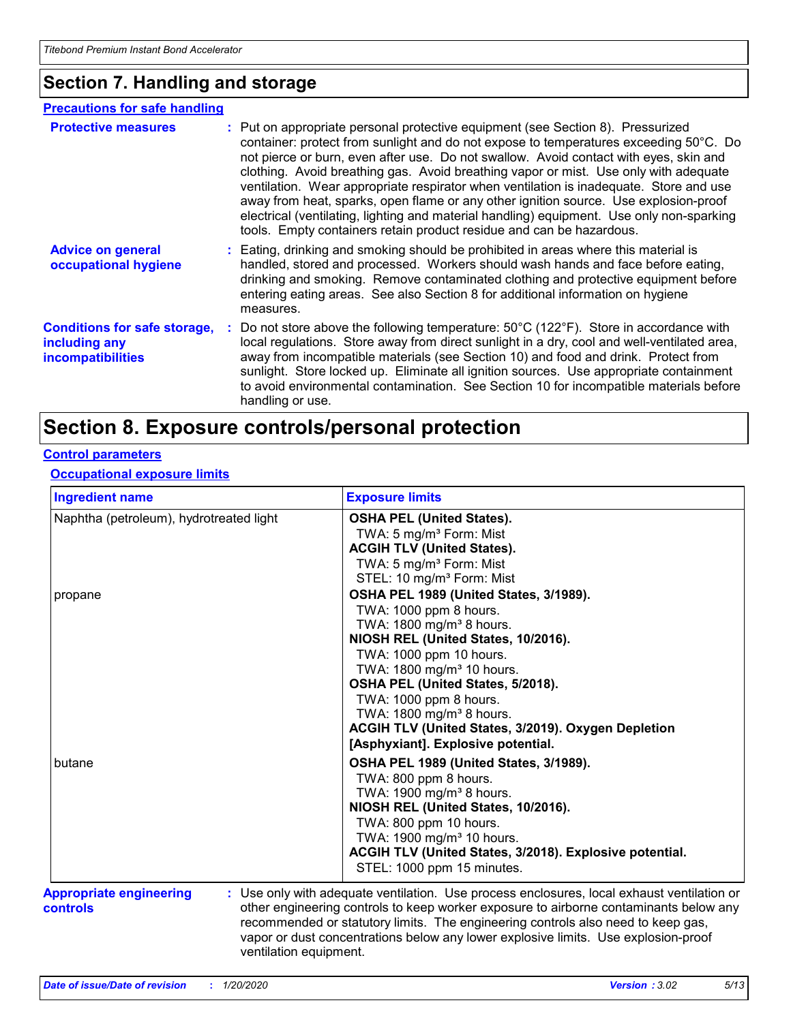### **Section 7. Handling and storage**

#### **Advice on general occupational hygiene Conditions for safe storage, including any incompatibilities** Eating, drinking and smoking should be prohibited in areas where this material is **:** handled, stored and processed. Workers should wash hands and face before eating, drinking and smoking. Remove contaminated clothing and protective equipment before entering eating areas. See also Section 8 for additional information on hygiene measures. Do not store above the following temperature: 50°C (122°F). Store in accordance with **:** local regulations. Store away from direct sunlight in a dry, cool and well-ventilated area, away from incompatible materials (see Section 10) and food and drink. Protect from sunlight. Store locked up. Eliminate all ignition sources. Use appropriate containment to avoid environmental contamination. See Section 10 for incompatible materials before handling or use. **Protective measures** : Put on appropriate personal protective equipment (see Section 8). Pressurized container: protect from sunlight and do not expose to temperatures exceeding 50°C. Do not pierce or burn, even after use. Do not swallow. Avoid contact with eyes, skin and clothing. Avoid breathing gas. Avoid breathing vapor or mist. Use only with adequate ventilation. Wear appropriate respirator when ventilation is inadequate. Store and use away from heat, sparks, open flame or any other ignition source. Use explosion-proof electrical (ventilating, lighting and material handling) equipment. Use only non-sparking tools. Empty containers retain product residue and can be hazardous. **Precautions for safe handling**

### **Section 8. Exposure controls/personal protection**

#### **Control parameters**

#### **Occupational exposure limits**

| <b>Ingredient name</b>                                               | <b>Exposure limits</b>                                                                                                                                                                                                                                                                                                                                        |
|----------------------------------------------------------------------|---------------------------------------------------------------------------------------------------------------------------------------------------------------------------------------------------------------------------------------------------------------------------------------------------------------------------------------------------------------|
| Naphtha (petroleum), hydrotreated light                              | <b>OSHA PEL (United States).</b><br>TWA: 5 mg/m <sup>3</sup> Form: Mist<br><b>ACGIH TLV (United States).</b><br>TWA: 5 mg/m <sup>3</sup> Form: Mist<br>STEL: 10 mg/m <sup>3</sup> Form: Mist                                                                                                                                                                  |
| propane                                                              | OSHA PEL 1989 (United States, 3/1989).<br>TWA: 1000 ppm 8 hours.<br>TWA: 1800 mg/m <sup>3</sup> 8 hours.<br>NIOSH REL (United States, 10/2016).<br>TWA: 1000 ppm 10 hours.                                                                                                                                                                                    |
|                                                                      | TWA: 1800 mg/m <sup>3</sup> 10 hours.<br>OSHA PEL (United States, 5/2018).<br>TWA: 1000 ppm 8 hours.<br>TWA: 1800 mg/m <sup>3</sup> 8 hours.<br>ACGIH TLV (United States, 3/2019). Oxygen Depletion<br>[Asphyxiant]. Explosive potential.                                                                                                                     |
| butane                                                               | OSHA PEL 1989 (United States, 3/1989).<br>TWA: 800 ppm 8 hours.<br>TWA: 1900 mg/m <sup>3</sup> 8 hours.<br>NIOSH REL (United States, 10/2016).<br>TWA: 800 ppm 10 hours.<br>TWA: 1900 mg/m <sup>3</sup> 10 hours.<br>ACGIH TLV (United States, 3/2018). Explosive potential.<br>STEL: 1000 ppm 15 minutes.                                                    |
| <b>Appropriate engineering</b><br>controls<br>ventilation equipment. | : Use only with adequate ventilation. Use process enclosures, local exhaust ventilation or<br>other engineering controls to keep worker exposure to airborne contaminants below any<br>recommended or statutory limits. The engineering controls also need to keep gas,<br>vapor or dust concentrations below any lower explosive limits. Use explosion-proof |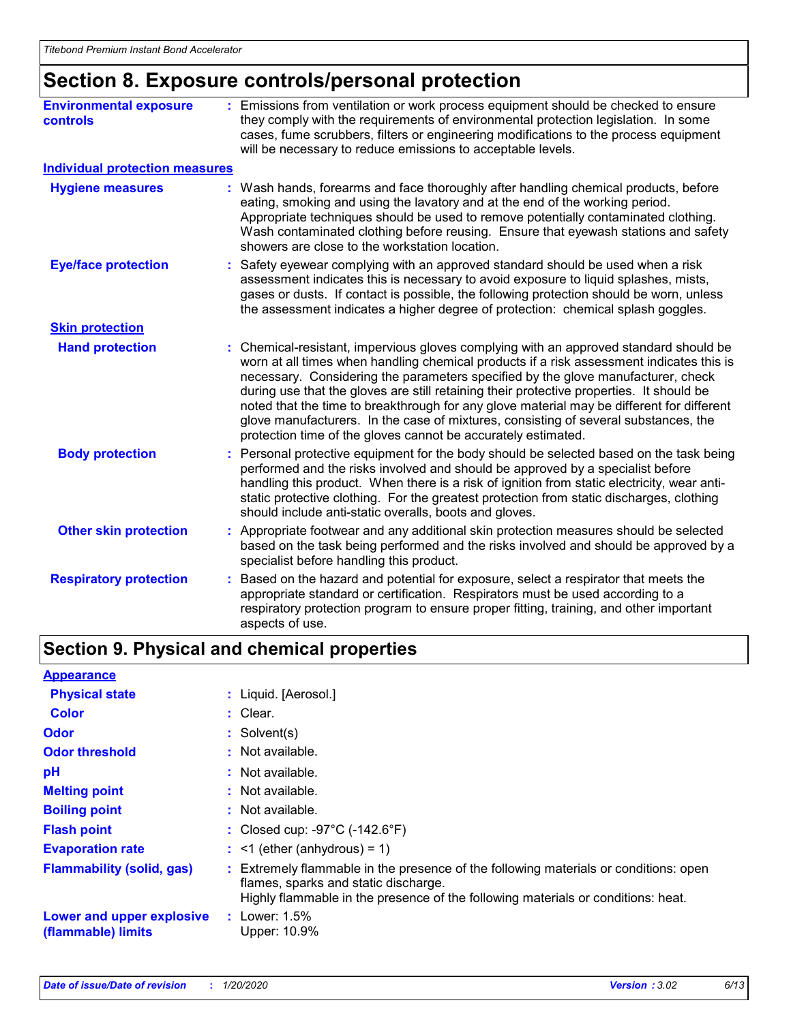# **Section 8. Exposure controls/personal protection**

| <b>Environmental exposure</b><br><b>controls</b> | : Emissions from ventilation or work process equipment should be checked to ensure<br>they comply with the requirements of environmental protection legislation. In some<br>cases, fume scrubbers, filters or engineering modifications to the process equipment<br>will be necessary to reduce emissions to acceptable levels.                                                                                                                                                                                                                                                                                        |
|--------------------------------------------------|------------------------------------------------------------------------------------------------------------------------------------------------------------------------------------------------------------------------------------------------------------------------------------------------------------------------------------------------------------------------------------------------------------------------------------------------------------------------------------------------------------------------------------------------------------------------------------------------------------------------|
| <b>Individual protection measures</b>            |                                                                                                                                                                                                                                                                                                                                                                                                                                                                                                                                                                                                                        |
| <b>Hygiene measures</b>                          | : Wash hands, forearms and face thoroughly after handling chemical products, before<br>eating, smoking and using the lavatory and at the end of the working period.<br>Appropriate techniques should be used to remove potentially contaminated clothing.<br>Wash contaminated clothing before reusing. Ensure that eyewash stations and safety<br>showers are close to the workstation location.                                                                                                                                                                                                                      |
| <b>Eye/face protection</b>                       | : Safety eyewear complying with an approved standard should be used when a risk<br>assessment indicates this is necessary to avoid exposure to liquid splashes, mists,<br>gases or dusts. If contact is possible, the following protection should be worn, unless<br>the assessment indicates a higher degree of protection: chemical splash goggles.                                                                                                                                                                                                                                                                  |
| <b>Skin protection</b>                           |                                                                                                                                                                                                                                                                                                                                                                                                                                                                                                                                                                                                                        |
| <b>Hand protection</b>                           | : Chemical-resistant, impervious gloves complying with an approved standard should be<br>worn at all times when handling chemical products if a risk assessment indicates this is<br>necessary. Considering the parameters specified by the glove manufacturer, check<br>during use that the gloves are still retaining their protective properties. It should be<br>noted that the time to breakthrough for any glove material may be different for different<br>glove manufacturers. In the case of mixtures, consisting of several substances, the<br>protection time of the gloves cannot be accurately estimated. |
| <b>Body protection</b>                           | Personal protective equipment for the body should be selected based on the task being<br>performed and the risks involved and should be approved by a specialist before<br>handling this product. When there is a risk of ignition from static electricity, wear anti-<br>static protective clothing. For the greatest protection from static discharges, clothing<br>should include anti-static overalls, boots and gloves.                                                                                                                                                                                           |
| <b>Other skin protection</b>                     | : Appropriate footwear and any additional skin protection measures should be selected<br>based on the task being performed and the risks involved and should be approved by a<br>specialist before handling this product.                                                                                                                                                                                                                                                                                                                                                                                              |
| <b>Respiratory protection</b>                    | Based on the hazard and potential for exposure, select a respirator that meets the<br>appropriate standard or certification. Respirators must be used according to a<br>respiratory protection program to ensure proper fitting, training, and other important<br>aspects of use.                                                                                                                                                                                                                                                                                                                                      |

## **Section 9. Physical and chemical properties**

| <b>Appearance</b>                               |                                                                                                                                                                                                                  |
|-------------------------------------------------|------------------------------------------------------------------------------------------------------------------------------------------------------------------------------------------------------------------|
| <b>Physical state</b>                           | : Liquid. [Aerosol.]                                                                                                                                                                                             |
| <b>Color</b>                                    | $:$ Clear.                                                                                                                                                                                                       |
| <b>Odor</b>                                     | $:$ Solvent(s)                                                                                                                                                                                                   |
| <b>Odor threshold</b>                           | $:$ Not available.                                                                                                                                                                                               |
| рH                                              | $:$ Not available.                                                                                                                                                                                               |
| <b>Melting point</b>                            | : Not available.                                                                                                                                                                                                 |
| <b>Boiling point</b>                            | : Not available.                                                                                                                                                                                                 |
| <b>Flash point</b>                              | : Closed cup: $-97^{\circ}$ C ( $-142.6^{\circ}$ F)                                                                                                                                                              |
| <b>Evaporation rate</b>                         | $:$ <1 (ether (anhydrous) = 1)                                                                                                                                                                                   |
| <b>Flammability (solid, gas)</b>                | : Extremely flammable in the presence of the following materials or conditions: open<br>flames, sparks and static discharge.<br>Highly flammable in the presence of the following materials or conditions: heat. |
| Lower and upper explosive<br>(flammable) limits | : Lower: $1.5\%$<br>Upper: 10.9%                                                                                                                                                                                 |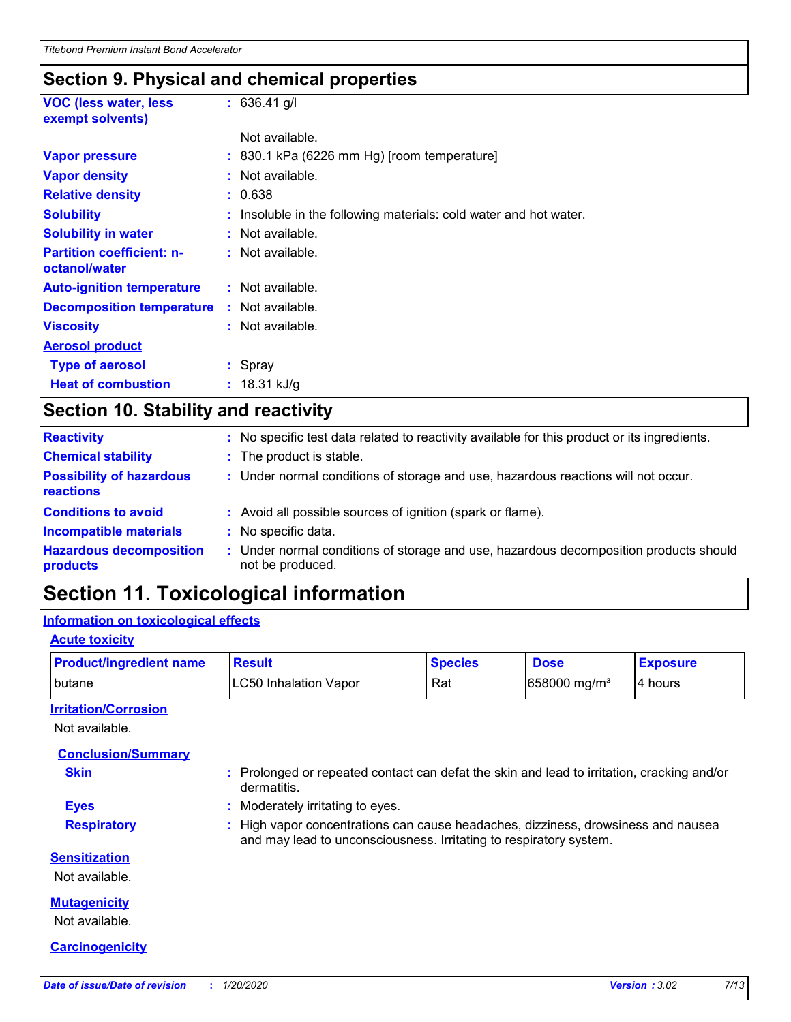### **Section 9. Physical and chemical properties**

| <b>VOC (less water, less)</b><br>exempt solvents) | $: 636.41$ g/l                                                    |
|---------------------------------------------------|-------------------------------------------------------------------|
|                                                   | Not available.                                                    |
| <b>Vapor pressure</b>                             | $: 830.1$ kPa (6226 mm Hg) [room temperature]                     |
| <b>Vapor density</b>                              | : Not available.                                                  |
| <b>Relative density</b>                           | : 0.638                                                           |
| <b>Solubility</b>                                 | : Insoluble in the following materials: cold water and hot water. |
| <b>Solubility in water</b>                        | : Not available.                                                  |
| <b>Partition coefficient: n-</b><br>octanol/water | $:$ Not available.                                                |
| <b>Auto-ignition temperature</b>                  | : Not available.                                                  |
| <b>Decomposition temperature</b>                  | $:$ Not available.                                                |
| <b>Viscosity</b>                                  | $:$ Not available.                                                |
| <b>Aerosol product</b>                            |                                                                   |
| <b>Type of aerosol</b>                            | : Spray                                                           |
| <b>Heat of combustion</b>                         | : 18.31 kJ/g                                                      |

# **Section 10. Stability and reactivity**

| <b>Reactivity</b>                            | : No specific test data related to reactivity available for this product or its ingredients.              |
|----------------------------------------------|-----------------------------------------------------------------------------------------------------------|
| <b>Chemical stability</b>                    | : The product is stable.                                                                                  |
| <b>Possibility of hazardous</b><br>reactions | : Under normal conditions of storage and use, hazardous reactions will not occur.                         |
| <b>Conditions to avoid</b>                   | : Avoid all possible sources of ignition (spark or flame).                                                |
| <b>Incompatible materials</b>                | : No specific data.                                                                                       |
| <b>Hazardous decomposition</b><br>products   | : Under normal conditions of storage and use, hazardous decomposition products should<br>not be produced. |

# **Section 11. Toxicological information**

#### **Information on toxicological effects**

#### **Acute toxicity**

| <b>Product/ingredient name</b> | Result                 | <b>Species</b> | <b>Dose</b>                | <b>Exposure</b> |
|--------------------------------|------------------------|----------------|----------------------------|-----------------|
| l butane                       | ILC50 Inhalation Vapor | Rat            | $658000$ mg/m <sup>3</sup> | 14 hours        |

#### **Irritation/Corrosion**

Not available.

#### **Conclusion/Summary**

| <b>Skin</b>          | : Prolonged or repeated contact can defat the skin and lead to irritation, cracking and/or<br>dermatitis.                                               |
|----------------------|---------------------------------------------------------------------------------------------------------------------------------------------------------|
| <b>Eyes</b>          | : Moderately irritating to eyes.                                                                                                                        |
| <b>Respiratory</b>   | : High vapor concentrations can cause headaches, dizziness, drowsiness and nausea<br>and may lead to unconsciousness. Irritating to respiratory system. |
| <b>Sensitization</b> |                                                                                                                                                         |
| Not available.       |                                                                                                                                                         |
| <b>Mutagenicity</b>  |                                                                                                                                                         |

Not available.

#### **Carcinogenicity**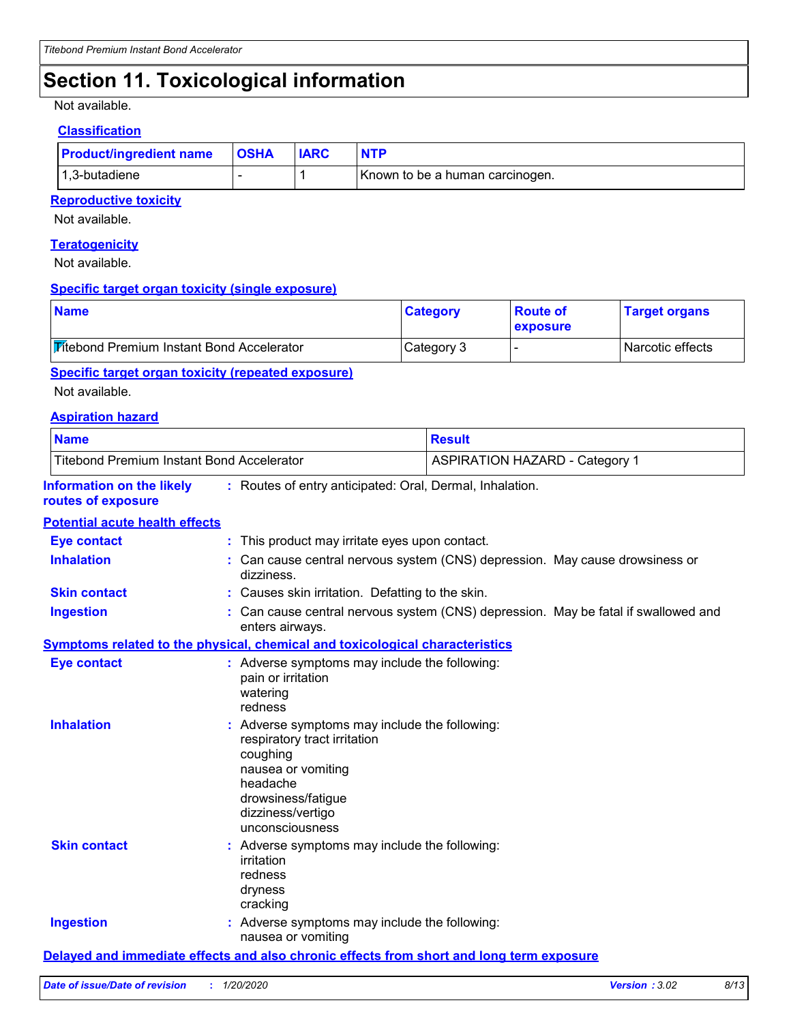# **Section 11. Toxicological information**

Not available.

#### **Classification**

| <b>Product/ingredient name OSHA</b> | <b>IARC</b> |                                 |
|-------------------------------------|-------------|---------------------------------|
| 1,3-butadiene                       |             | Known to be a human carcinogen. |

#### **Reproductive toxicity**

Not available.

#### **Teratogenicity**

Not available.

#### **Specific target organ toxicity (single exposure)**

| <b>Name</b>                                      | <b>Category</b> | <b>Route of</b><br><b>exposure</b> | <b>Target organs</b> |
|--------------------------------------------------|-----------------|------------------------------------|----------------------|
| <b>Fitebond Premium Instant Bond Accelerator</b> | Category 3      |                                    | I Narcotic effects   |

#### **Specific target organ toxicity (repeated exposure)**

Not available.

#### **Aspiration hazard**

| <b>Name</b>                                            |                                                                                                                                                                                         | <b>Result</b>                                                                            |
|--------------------------------------------------------|-----------------------------------------------------------------------------------------------------------------------------------------------------------------------------------------|------------------------------------------------------------------------------------------|
| <b>Titebond Premium Instant Bond Accelerator</b>       |                                                                                                                                                                                         | <b>ASPIRATION HAZARD - Category 1</b>                                                    |
| <b>Information on the likely</b><br>routes of exposure |                                                                                                                                                                                         | : Routes of entry anticipated: Oral, Dermal, Inhalation.                                 |
| <b>Potential acute health effects</b>                  |                                                                                                                                                                                         |                                                                                          |
| <b>Eye contact</b>                                     | : This product may irritate eyes upon contact.                                                                                                                                          |                                                                                          |
| <b>Inhalation</b>                                      | dizziness.                                                                                                                                                                              | : Can cause central nervous system (CNS) depression. May cause drowsiness or             |
| <b>Skin contact</b>                                    | : Causes skin irritation. Defatting to the skin.                                                                                                                                        |                                                                                          |
| <b>Ingestion</b>                                       | enters airways.                                                                                                                                                                         | : Can cause central nervous system (CNS) depression. May be fatal if swallowed and       |
|                                                        | Symptoms related to the physical, chemical and toxicological characteristics                                                                                                            |                                                                                          |
| <b>Eye contact</b>                                     | : Adverse symptoms may include the following:<br>pain or irritation<br>watering<br>redness                                                                                              |                                                                                          |
| <b>Inhalation</b>                                      | Adverse symptoms may include the following:<br>respiratory tract irritation<br>coughing<br>nausea or vomiting<br>headache<br>drowsiness/fatigue<br>dizziness/vertigo<br>unconsciousness |                                                                                          |
| <b>Skin contact</b>                                    | : Adverse symptoms may include the following:<br>irritation<br>redness<br>dryness<br>cracking                                                                                           |                                                                                          |
| <b>Ingestion</b>                                       | Adverse symptoms may include the following:<br>nausea or vomiting                                                                                                                       |                                                                                          |
|                                                        |                                                                                                                                                                                         | Delayed and immediate effects and also chronic effects from short and long term exposure |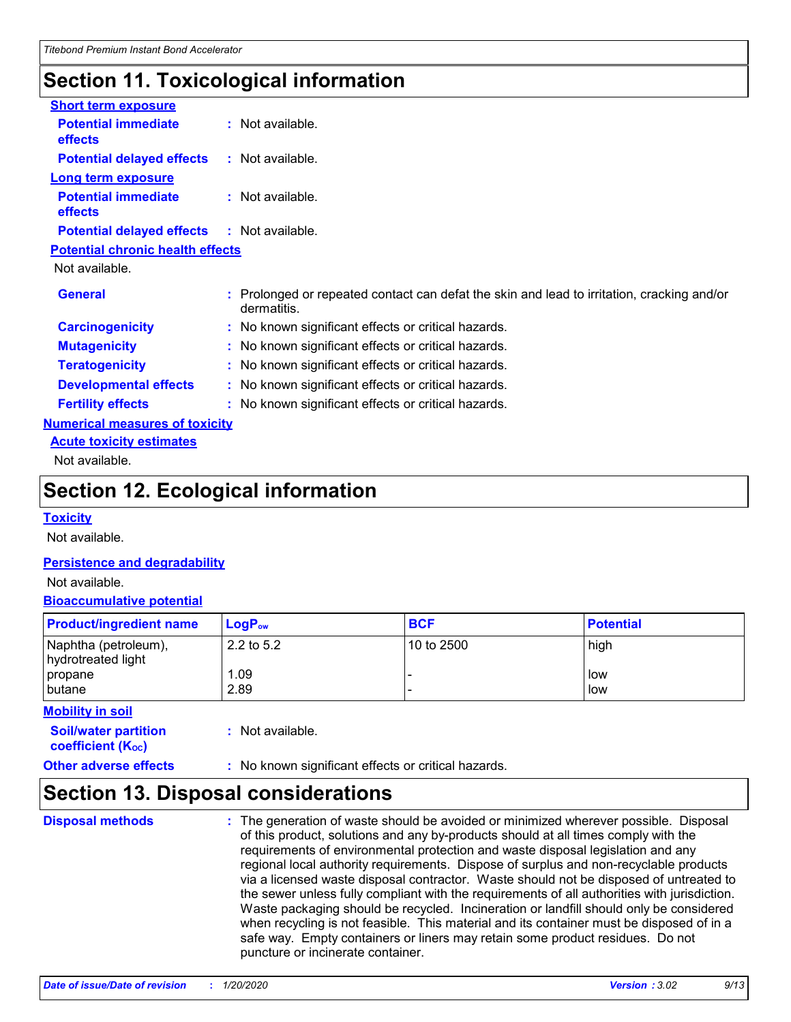# **Section 11. Toxicological information**

| <b>Short term exposure</b>                   |                                                                                                         |
|----------------------------------------------|---------------------------------------------------------------------------------------------------------|
| <b>Potential immediate</b><br><b>effects</b> | : Not available.                                                                                        |
| <b>Potential delayed effects</b>             | $\therefore$ Not available.                                                                             |
| <b>Long term exposure</b>                    |                                                                                                         |
| <b>Potential immediate</b><br><b>effects</b> | $:$ Not available.                                                                                      |
| <b>Potential delayed effects</b>             | : Not available.                                                                                        |
| <b>Potential chronic health effects</b>      |                                                                                                         |
| Not available.                               |                                                                                                         |
| <b>General</b>                               | Prolonged or repeated contact can defat the skin and lead to irritation, cracking and/or<br>dermatitis. |
| <b>Carcinogenicity</b>                       | : No known significant effects or critical hazards.                                                     |
| <b>Mutagenicity</b>                          | : No known significant effects or critical hazards.                                                     |
| <b>Teratogenicity</b>                        | : No known significant effects or critical hazards.                                                     |
| <b>Developmental effects</b>                 | : No known significant effects or critical hazards.                                                     |
| <b>Fertility effects</b>                     | : No known significant effects or critical hazards.                                                     |
| <b>Numerical measures of toxicity</b>        |                                                                                                         |
| <b>Acute toxicity estimates</b>              |                                                                                                         |
| Not available.                               |                                                                                                         |
|                                              |                                                                                                         |

# **Section 12. Ecological information**

#### **Toxicity**

Not available.

#### **Persistence and degradability**

Not available.

#### **Bioaccumulative potential**

| <b>Product/ingredient name</b>             | $LogP_{ow}$  | <b>BCF</b> | <b>Potential</b> |
|--------------------------------------------|--------------|------------|------------------|
| Naphtha (petroleum),<br>hydrotreated light | 2.2 to $5.2$ | 10 to 2500 | high             |
| propane<br>butane                          | 1.09<br>2.89 |            | low<br>low       |
| <b>Mobility in soil</b>                    |              |            |                  |

| <b>Soil/water partition</b><br>coefficient (K <sub>oc</sub> ) | : Not available.                                    |
|---------------------------------------------------------------|-----------------------------------------------------|
| <b>Other adverse effects</b>                                  | : No known significant effects or critical hazards. |
|                                                               |                                                     |

### **Section 13. Disposal considerations**

**Disposal methods** : The generation of waste should be avoided or minimized wherever possible. Disposal of this product, solutions and any by-products should at all times comply with the requirements of environmental protection and waste disposal legislation and any regional local authority requirements. Dispose of surplus and non-recyclable products via a licensed waste disposal contractor. Waste should not be disposed of untreated to the sewer unless fully compliant with the requirements of all authorities with jurisdiction. Waste packaging should be recycled. Incineration or landfill should only be considered when recycling is not feasible. This material and its container must be disposed of in a safe way. Empty containers or liners may retain some product residues. Do not puncture or incinerate container.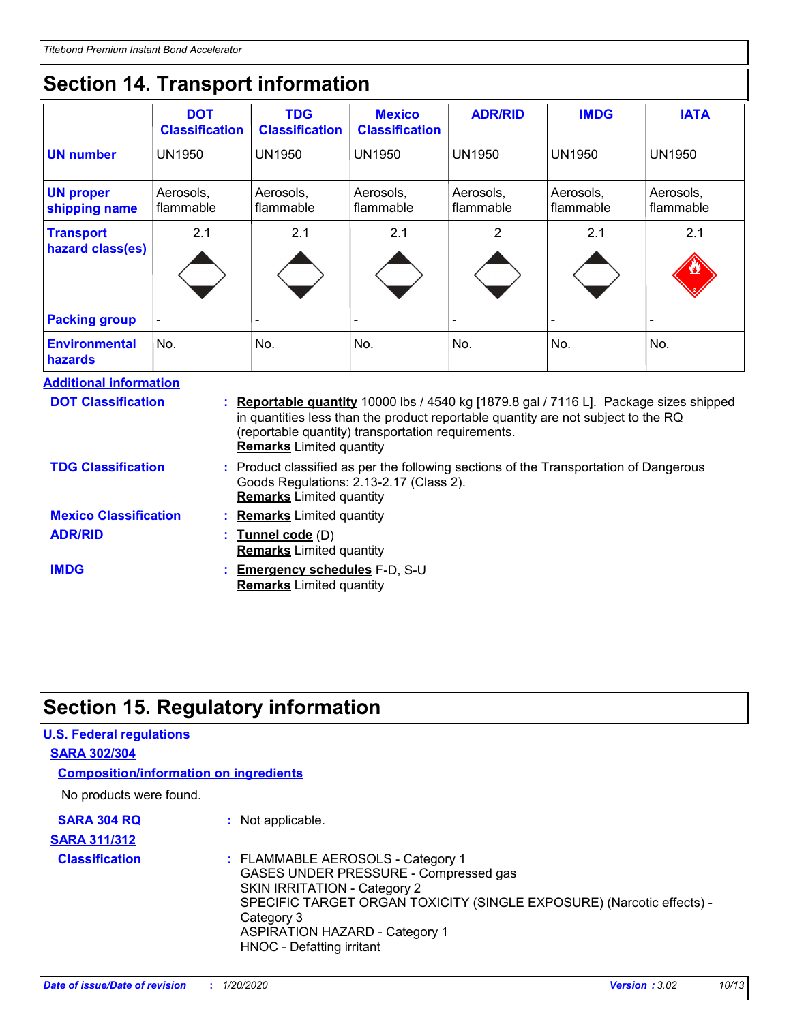# **Section 14. Transport information**

|                                      | <b>DOT</b><br><b>Classification</b> | <b>TDG</b><br><b>Classification</b> | <b>Mexico</b><br><b>Classification</b> | <b>ADR/RID</b>         | <b>IMDG</b>            | <b>IATA</b>            |
|--------------------------------------|-------------------------------------|-------------------------------------|----------------------------------------|------------------------|------------------------|------------------------|
| UN number                            | <b>UN1950</b>                       | <b>UN1950</b>                       | <b>UN1950</b>                          | <b>UN1950</b>          | <b>UN1950</b>          | <b>UN1950</b>          |
| <b>UN proper</b><br>shipping name    | Aerosols,<br>flammable              | Aerosols,<br>flammable              | Aerosols,<br>  flammable               | Aerosols,<br>flammable | Aerosols,<br>flammable | Aerosols,<br>flammable |
| <b>Transport</b><br>hazard class(es) | 2.1                                 | 2.1                                 | 2.1                                    | 2                      | 2.1                    | 2.1<br><u>V3</u>       |
| <b>Packing group</b>                 |                                     |                                     |                                        |                        |                        |                        |
| <b>Environmental</b><br>hazards      | No.                                 | No.                                 | No.                                    | No.                    | No.                    | No.                    |

**Additional information**

| <b>DOT Classification</b>    | : Reportable quantity 10000 lbs / 4540 kg [1879.8 gal / 7116 L]. Package sizes shipped<br>in quantities less than the product reportable quantity are not subject to the RQ<br>(reportable quantity) transportation requirements.<br><b>Remarks</b> Limited quantity |
|------------------------------|----------------------------------------------------------------------------------------------------------------------------------------------------------------------------------------------------------------------------------------------------------------------|
| <b>TDG Classification</b>    | : Product classified as per the following sections of the Transportation of Dangerous<br>Goods Regulations: 2.13-2.17 (Class 2).<br><b>Remarks</b> Limited quantity                                                                                                  |
| <b>Mexico Classification</b> | : Remarks Limited quantity                                                                                                                                                                                                                                           |
| <b>ADR/RID</b>               | : Tunnel code (D)<br><b>Remarks</b> Limited quantity                                                                                                                                                                                                                 |
| <b>IMDG</b>                  | : Emergency schedules F-D, S-U<br><b>Remarks</b> Limited quantity                                                                                                                                                                                                    |

# **Section 15. Regulatory information**

| <b>U.S. Federal regulations</b>               |                                                                                                                                                                                                                                                                         |
|-----------------------------------------------|-------------------------------------------------------------------------------------------------------------------------------------------------------------------------------------------------------------------------------------------------------------------------|
| <b>SARA 302/304</b>                           |                                                                                                                                                                                                                                                                         |
| <b>Composition/information on ingredients</b> |                                                                                                                                                                                                                                                                         |
| No products were found.                       |                                                                                                                                                                                                                                                                         |
| <b>SARA 304 RQ</b>                            | : Not applicable.                                                                                                                                                                                                                                                       |
| <b>SARA 311/312</b>                           |                                                                                                                                                                                                                                                                         |
| <b>Classification</b>                         | : FLAMMABLE AEROSOLS - Category 1<br>GASES UNDER PRESSURE - Compressed gas<br>SKIN IRRITATION - Category 2<br>SPECIFIC TARGET ORGAN TOXICITY (SINGLE EXPOSURE) (Narcotic effects) -<br>Category 3<br><b>ASPIRATION HAZARD - Category 1</b><br>HNOC - Defatting irritant |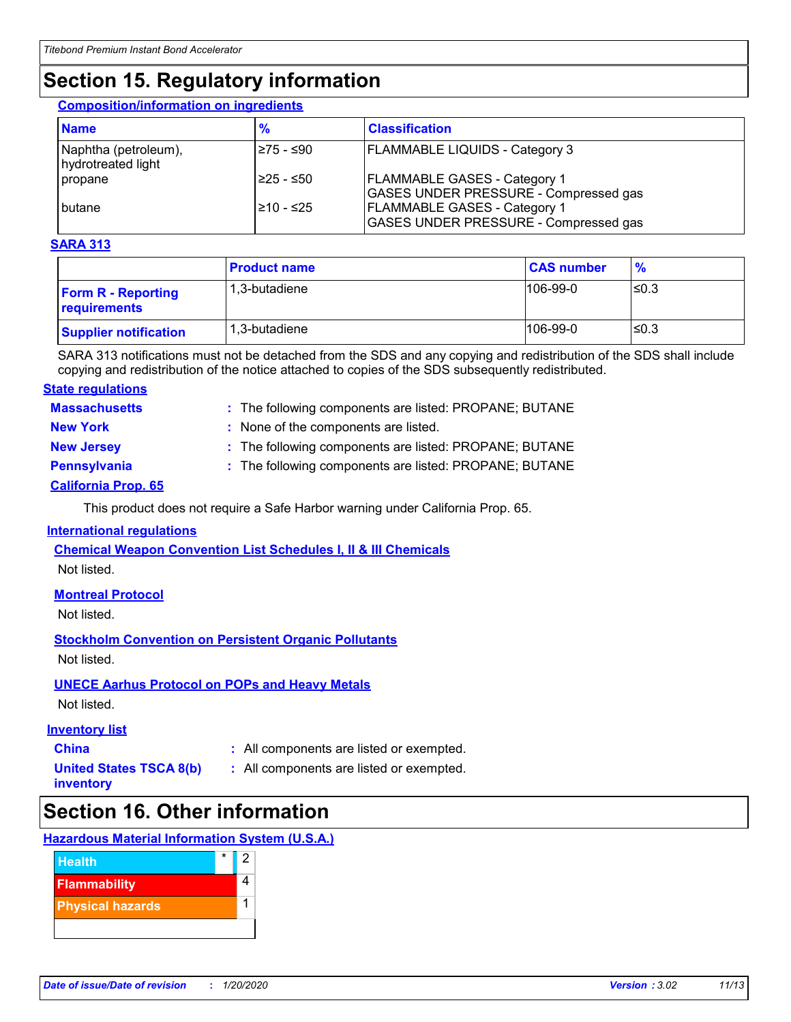# **Section 15. Regulatory information**

#### **Composition/information on ingredients**

| <b>Name</b>                                | $\frac{9}{6}$ | <b>Classification</b>                                                               |
|--------------------------------------------|---------------|-------------------------------------------------------------------------------------|
| Naphtha (petroleum),<br>hydrotreated light | I≥75 - ≤90    | <b>FLAMMABLE LIQUIDS - Category 3</b>                                               |
| propane                                    | I≥25 - ≤50    | <b>FLAMMABLE GASES - Category 1</b><br><b>GASES UNDER PRESSURE - Compressed gas</b> |
| I butane                                   | 210 - ≤25     | <b>FLAMMABLE GASES - Category 1</b><br><b>GASES UNDER PRESSURE - Compressed gas</b> |

#### **SARA 313**

|                                           | <b>Product name</b> | <b>CAS number</b> | $\frac{9}{6}$ |
|-------------------------------------------|---------------------|-------------------|---------------|
| <b>Form R - Reporting</b><br>requirements | 1.3-butadiene       | 106-99-0          | l≤0.3         |
| <b>Supplier notification</b>              | 1.3-butadiene       | 106-99-0          | l≤0.3         |

SARA 313 notifications must not be detached from the SDS and any copying and redistribution of the SDS shall include copying and redistribution of the notice attached to copies of the SDS subsequently redistributed.

#### **State regulations**

| <b>Massachusetts</b> | : The following components are listed: PROPANE; BUTANE |
|----------------------|--------------------------------------------------------|
| <b>New York</b>      | : None of the components are listed.                   |
| <b>New Jersey</b>    | : The following components are listed: PROPANE; BUTANE |
| <b>Pennsylvania</b>  | : The following components are listed: PROPANE; BUTANE |

#### **California Prop. 65**

This product does not require a Safe Harbor warning under California Prop. 65.

#### **International regulations**

**Chemical Weapon Convention List Schedules I, II & III Chemicals** Not listed.

#### **Montreal Protocol**

Not listed.

#### **Stockholm Convention on Persistent Organic Pollutants**

Not listed.

#### **UNECE Aarhus Protocol on POPs and Heavy Metals**

Not listed.

#### **Inventory list**

**China :** All components are listed or exempted.

- **United States TSCA 8(b) inventory**
- **:** All components are listed or exempted.

### **Section 16. Other information**

#### **Hazardous Material Information System (U.S.A.)**

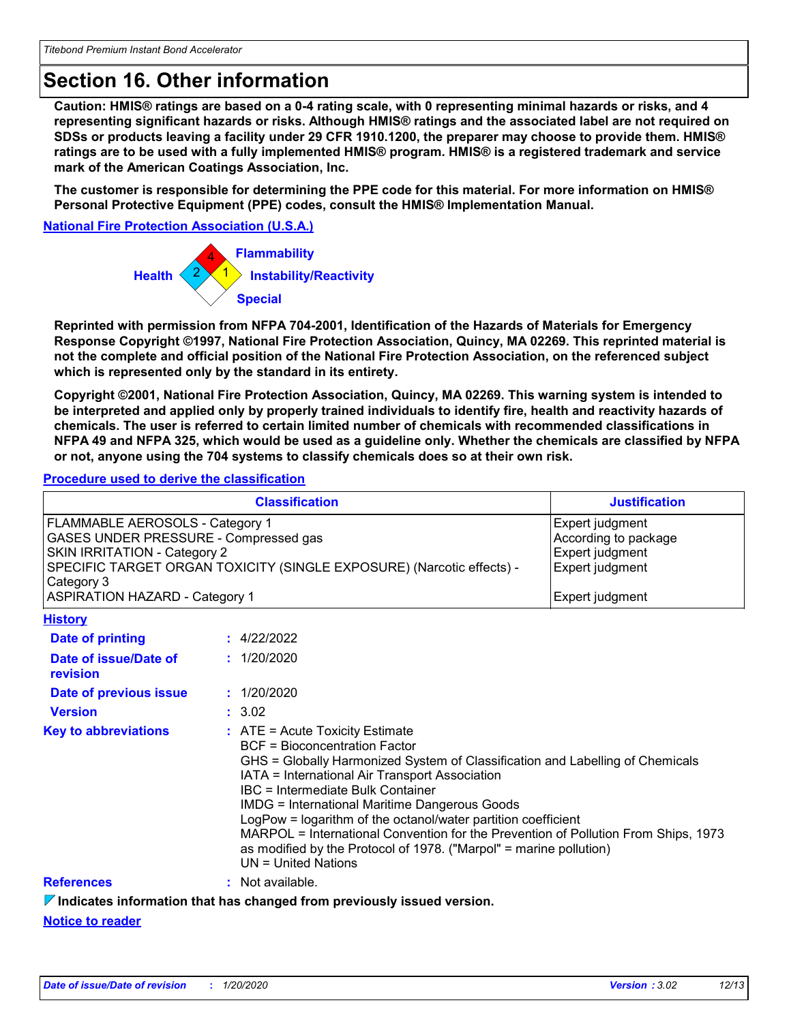# **Section 16. Other information**

**Caution: HMIS® ratings are based on a 0-4 rating scale, with 0 representing minimal hazards or risks, and 4 representing significant hazards or risks. Although HMIS® ratings and the associated label are not required on SDSs or products leaving a facility under 29 CFR 1910.1200, the preparer may choose to provide them. HMIS® ratings are to be used with a fully implemented HMIS® program. HMIS® is a registered trademark and service mark of the American Coatings Association, Inc.**

**The customer is responsible for determining the PPE code for this material. For more information on HMIS® Personal Protective Equipment (PPE) codes, consult the HMIS® Implementation Manual.**

**National Fire Protection Association (U.S.A.)**



**Reprinted with permission from NFPA 704-2001, Identification of the Hazards of Materials for Emergency Response Copyright ©1997, National Fire Protection Association, Quincy, MA 02269. This reprinted material is not the complete and official position of the National Fire Protection Association, on the referenced subject which is represented only by the standard in its entirety.**

**Copyright ©2001, National Fire Protection Association, Quincy, MA 02269. This warning system is intended to be interpreted and applied only by properly trained individuals to identify fire, health and reactivity hazards of chemicals. The user is referred to certain limited number of chemicals with recommended classifications in NFPA 49 and NFPA 325, which would be used as a guideline only. Whether the chemicals are classified by NFPA or not, anyone using the 704 systems to classify chemicals does so at their own risk.**

#### **Procedure used to derive the classification**

| <b>Classification</b>                                                                                                                                                                                                                           |  | <b>Justification</b>                                                                                                                                                                                                                                                                                                                                                                                                                                                                                                                                                     |  |  |
|-------------------------------------------------------------------------------------------------------------------------------------------------------------------------------------------------------------------------------------------------|--|--------------------------------------------------------------------------------------------------------------------------------------------------------------------------------------------------------------------------------------------------------------------------------------------------------------------------------------------------------------------------------------------------------------------------------------------------------------------------------------------------------------------------------------------------------------------------|--|--|
| FLAMMABLE AEROSOLS - Category 1<br>GASES UNDER PRESSURE - Compressed gas<br><b>SKIN IRRITATION - Category 2</b><br>SPECIFIC TARGET ORGAN TOXICITY (SINGLE EXPOSURE) (Narcotic effects) -<br>Category 3<br><b>ASPIRATION HAZARD - Category 1</b> |  | Expert judgment<br>According to package<br>Expert judgment<br>Expert judgment<br>Expert judgment                                                                                                                                                                                                                                                                                                                                                                                                                                                                         |  |  |
| <b>History</b>                                                                                                                                                                                                                                  |  |                                                                                                                                                                                                                                                                                                                                                                                                                                                                                                                                                                          |  |  |
| <b>Date of printing</b>                                                                                                                                                                                                                         |  | : 4/22/2022                                                                                                                                                                                                                                                                                                                                                                                                                                                                                                                                                              |  |  |
| Date of issue/Date of<br>revision                                                                                                                                                                                                               |  | : 1/20/2020                                                                                                                                                                                                                                                                                                                                                                                                                                                                                                                                                              |  |  |
| Date of previous issue                                                                                                                                                                                                                          |  | : 1/20/2020                                                                                                                                                                                                                                                                                                                                                                                                                                                                                                                                                              |  |  |
| <b>Version</b>                                                                                                                                                                                                                                  |  | : 3.02                                                                                                                                                                                                                                                                                                                                                                                                                                                                                                                                                                   |  |  |
| <b>Key to abbreviations</b>                                                                                                                                                                                                                     |  | $\therefore$ ATE = Acute Toxicity Estimate<br><b>BCF</b> = Bioconcentration Factor<br>GHS = Globally Harmonized System of Classification and Labelling of Chemicals<br>IATA = International Air Transport Association<br>IBC = Intermediate Bulk Container<br><b>IMDG = International Maritime Dangerous Goods</b><br>LogPow = logarithm of the octanol/water partition coefficient<br>MARPOL = International Convention for the Prevention of Pollution From Ships, 1973<br>as modified by the Protocol of 1978. ("Marpol" = marine pollution)<br>$UN = United Nations$ |  |  |
| <b>References</b>                                                                                                                                                                                                                               |  | $:$ Not available.                                                                                                                                                                                                                                                                                                                                                                                                                                                                                                                                                       |  |  |
|                                                                                                                                                                                                                                                 |  | $\nabla$ Indicates information that has changed from previously issued version.                                                                                                                                                                                                                                                                                                                                                                                                                                                                                          |  |  |

**Notice to reader**